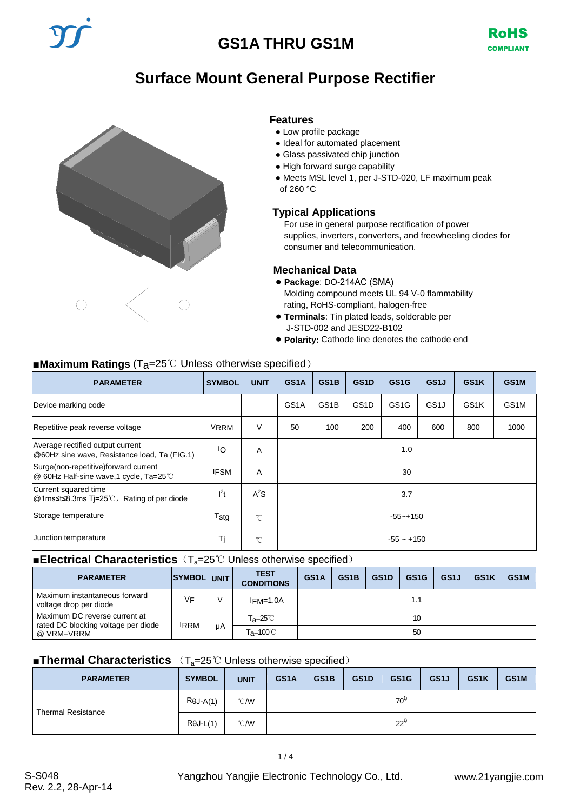## **Surface Mount General Purpose Rectifier**



### **Features**

- Low profile package
- Ideal for automated placement
- Glass passivated chip junction
- High forward surge capability
- Meets MSL level 1, per J-STD-020, LF maximum peak of 260 °C

### **Typical Applications**

For use in general purpose rectification of power supplies, inverters, converters, and freewheeling diodes for consumer and telecommunication.

### **Mechanical Data**

- **Package**: DO-Molding compound meets UL 94 V-0 flammability rating, RoHS-compliant, halogen-free
- **Terminals**: Tin plated leads, solderable per J-STD-002 and JESD22-B102
- **Polarity:** Cathode line denotes the cathode end

### ■**Maximum Ratings** (Ta=25<sup>°</sup>C Unless otherwise specified)

| <b>PARAMETER</b>                                                                 | <b>SYMBOL</b> | <b>UNIT</b>  | GS <sub>1</sub> A                     | GS <sub>1</sub> B | GS <sub>1</sub> D | GS <sub>1</sub> G | GS1J              | GS <sub>1</sub> K | GS <sub>1</sub> M |
|----------------------------------------------------------------------------------|---------------|--------------|---------------------------------------|-------------------|-------------------|-------------------|-------------------|-------------------|-------------------|
| Device marking code                                                              |               |              | GS <sub>1</sub> A                     | GS <sub>1</sub> B | GS <sub>1</sub> D | GS <sub>1</sub> G | GS <sub>1</sub> J | GS <sub>1</sub> K | GS <sub>1</sub> M |
| Repetitive peak reverse voltage                                                  | <b>VRRM</b>   | V            | 100<br>200<br>50<br>400<br>600<br>800 |                   |                   | 1000              |                   |                   |                   |
| Average rectified output current<br>@60Hz sine wave, Resistance load, Ta (FIG.1) | IО            | A            | 1.0                                   |                   |                   |                   |                   |                   |                   |
| Surge(non-repetitive)forward current<br>© 60Hz Half-sine wave,1 cycle, Ta=25℃    | <b>IFSM</b>   | Α            | 30                                    |                   |                   |                   |                   |                   |                   |
| Current squared time<br>Q 1ms≤t≤8.3ms Ti=25℃, Rating of per diode                | $l^2t$        | $A^2S$       | 3.7                                   |                   |                   |                   |                   |                   |                   |
| Storage temperature                                                              | $T_{\rm stg}$ | $^{\circ}$ C | $-55 - +150$                          |                   |                   |                   |                   |                   |                   |
| Junction temperature                                                             | Τj            | $^{\circ}$ C | $-55 - +150$                          |                   |                   |                   |                   |                   |                   |

### ■**Electrical Characteristics** (T<sub>a</sub>=25℃ Unless otherwise specified)

| <b>PARAMETER</b>                                                     | SYMBOL UNIT |    | <b>TEST</b><br><b>CONDITIONS</b>     | GS <sub>1</sub> A | GS <sub>1</sub> B | GS <sub>1</sub> D | GS <sub>1</sub> G | GS <sub>1</sub> J | GS <sub>1</sub> K | GS <sub>1</sub> M |
|----------------------------------------------------------------------|-------------|----|--------------------------------------|-------------------|-------------------|-------------------|-------------------|-------------------|-------------------|-------------------|
| Maximum instantaneous forward<br>voltage drop per diode              | <b>VF</b>   |    | $IFM=1.0A$                           |                   |                   |                   |                   |                   |                   |                   |
| Maximum DC reverse current at<br>rated DC blocking voltage per diode | <b>IRRM</b> |    | T <sub>a</sub> =25℃                  |                   |                   |                   | 10                |                   |                   |                   |
| @ VRM=VRRM                                                           |             | иA | $T_{\mathsf{a}} = 100^{\circ}$<br>50 |                   |                   |                   |                   |                   |                   |                   |

### ■**Thermal Characteristics** (T<sub>a</sub>=25℃ Unless otherwise specified)

| <b>PARAMETER</b>          | <b>SYMBOL</b>    | <b>UNIT</b>    | GS1A     | GS1B | GS <sub>1</sub> D | GS <sub>1</sub> G | GS <sub>1</sub> J | GS1K | GS <sub>1</sub> M |
|---------------------------|------------------|----------------|----------|------|-------------------|-------------------|-------------------|------|-------------------|
| <b>Thermal Resistance</b> | $R\theta J-A(1)$ | $^{\circ}$ CMV | $70^{1}$ |      |                   |                   |                   |      |                   |
|                           | $R\theta$ J-L(1) | $^{\circ}$ CMV | $22^{1}$ |      |                   |                   |                   |      |                   |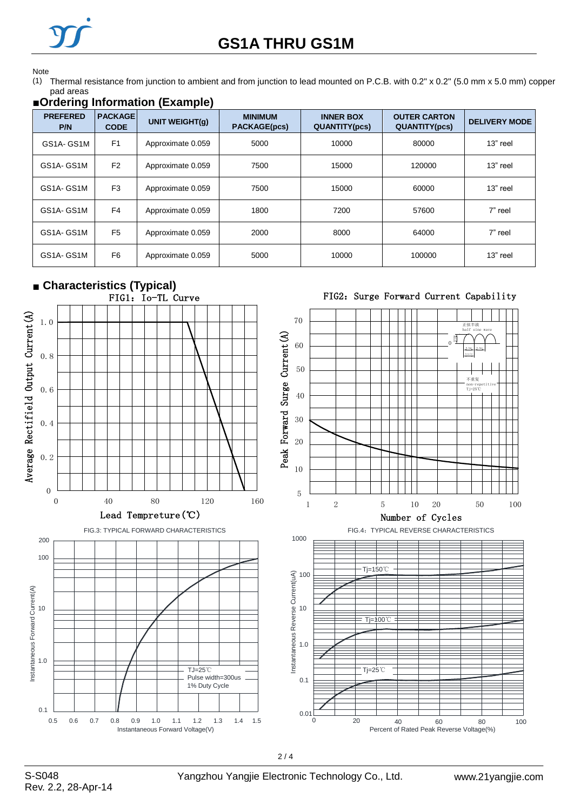

# **GS1A THRU GS1M**

#### Note

(1) Thermal resistance from junction to ambient and from junction to lead mounted on P.C.B. with 0.2" x 0.2" (5.0 mm x 5.0 mm) copper pad areas

## **■Ordering Information (Example)**

| <b>PREFERED</b><br>P/N | <b>PACKAGE</b><br><b>CODE</b> | <b>UNIT WEIGHT(g)</b> | <b>MINIMUM</b><br><b>PACKAGE(pcs)</b> | <b>INNER BOX</b><br><b>QUANTITY(pcs)</b> | <b>OUTER CARTON</b><br><b>QUANTITY(pcs)</b> | <b>DELIVERY MODE</b> |
|------------------------|-------------------------------|-----------------------|---------------------------------------|------------------------------------------|---------------------------------------------|----------------------|
| GS1A-GS1M              | F <sub>1</sub>                | Approximate 0.059     | 5000                                  | 10000                                    | 80000                                       | 13" reel             |
| GS1A-GS1M              | F <sub>2</sub>                | Approximate 0.059     | 7500                                  | 15000                                    | 120000                                      | 13" reel             |
| GS1A-GS1M              | F <sub>3</sub>                | Approximate 0.059     | 7500                                  | 15000                                    | 60000                                       | 13" reel             |
| GS1A-GS1M              | F <sub>4</sub>                | Approximate 0.059     | 1800                                  | 7200                                     | 57600                                       | 7" reel              |
| GS1A-GS1M              | F <sub>5</sub>                | Approximate 0.059     | 2000                                  | 8000                                     | 64000                                       | 7" reel              |
| GS1A-GS1M              | F <sub>6</sub>                | Approximate 0.059     | 5000                                  | 10000                                    | 100000                                      | $13"$ reel           |

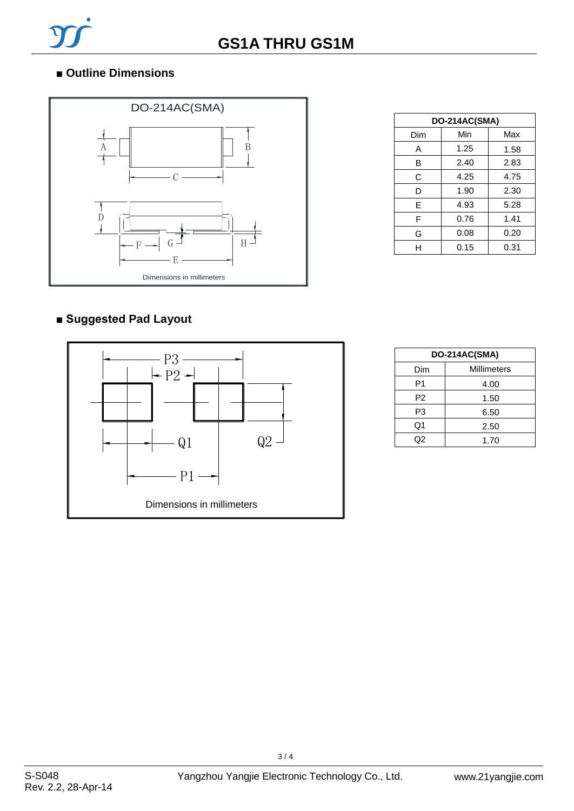

## ■ Outline Dimensions



| DO-214AC(SMA) |      |      |  |  |  |
|---------------|------|------|--|--|--|
| Dim           | Min  | Max  |  |  |  |
| Α             | 1.25 | 1.58 |  |  |  |
| B             | 2.40 | 2.83 |  |  |  |
| С             | 4.25 | 4.75 |  |  |  |
| D             | 1.90 | 2.30 |  |  |  |
| E             | 4.93 | 5.28 |  |  |  |
| F             | 0.76 | 1.41 |  |  |  |
| G             | 0.08 | 0.20 |  |  |  |
| н             | 0.15 | 0.31 |  |  |  |

### **■ Suggested Pad Layout**



| DO-214AC(SMA)      |      |  |  |  |
|--------------------|------|--|--|--|
| Millimeters<br>Dim |      |  |  |  |
| P1                 | 4.00 |  |  |  |
| P <sub>2</sub>     | 1.50 |  |  |  |
| P3                 | 6.50 |  |  |  |
| Q1                 | 2.50 |  |  |  |
| Q2                 | 1.70 |  |  |  |

 $3/4$